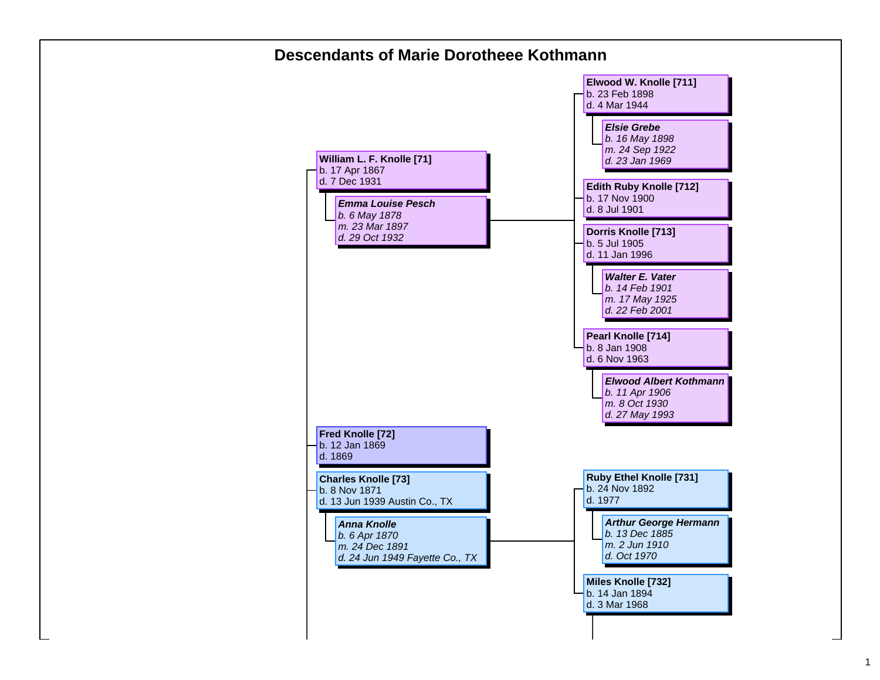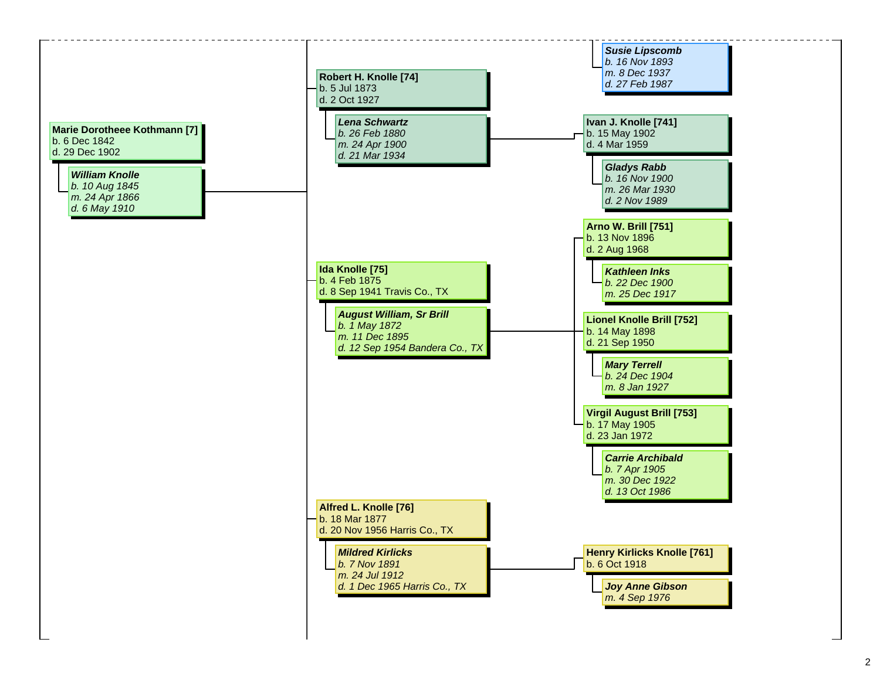